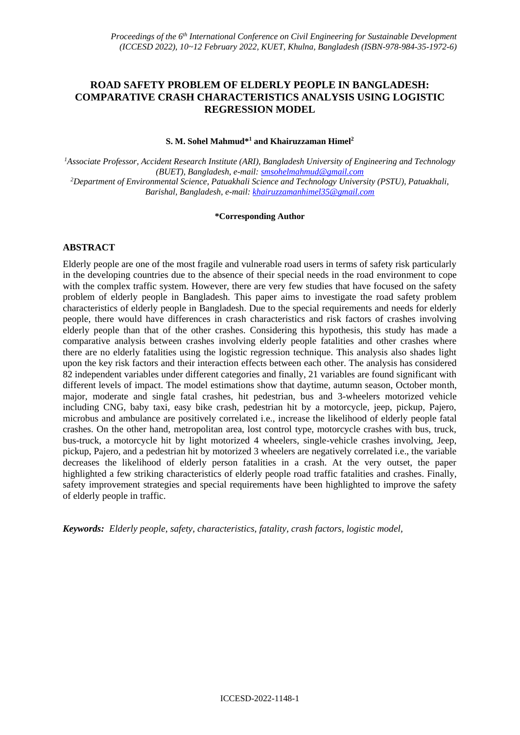# **ROAD SAFETY PROBLEM OF ELDERLY PEOPLE IN BANGLADESH: COMPARATIVE CRASH CHARACTERISTICS ANALYSIS USING LOGISTIC REGRESSION MODEL**

#### **S. M. Sohel Mahmud\* <sup>1</sup> and Khairuzzaman Himel<sup>2</sup>**

*<sup>1</sup>Associate Professor, Accident Research Institute (ARI), Bangladesh University of Engineering and Technology (BUET), Bangladesh, e-mail: [smsohelmahmud@gmail.com](mailto:smsohelmahmud@gmail.com) <sup>2</sup>Department of Environmental Science, Patuakhali Science and Technology University (PSTU), Patuakhali, Barishal, Bangladesh, e-mail: khairuzzamanhimel35@gmail.com*

#### **\*Corresponding Author**

# **ABSTRACT**

Elderly people are one of the most fragile and vulnerable road users in terms of safety risk particularly in the developing countries due to the absence of their special needs in the road environment to cope with the complex traffic system. However, there are very few studies that have focused on the safety problem of elderly people in Bangladesh. This paper aims to investigate the road safety problem characteristics of elderly people in Bangladesh. Due to the special requirements and needs for elderly people, there would have differences in crash characteristics and risk factors of crashes involving elderly people than that of the other crashes. Considering this hypothesis, this study has made a comparative analysis between crashes involving elderly people fatalities and other crashes where there are no elderly fatalities using the logistic regression technique. This analysis also shades light upon the key risk factors and their interaction effects between each other. The analysis has considered 82 independent variables under different categories and finally, 21 variables are found significant with different levels of impact. The model estimations show that daytime, autumn season, October month, major, moderate and single fatal crashes, hit pedestrian, bus and 3-wheelers motorized vehicle including CNG, baby taxi, easy bike crash, pedestrian hit by a motorcycle, jeep, pickup, Pajero, microbus and ambulance are positively correlated i.e., increase the likelihood of elderly people fatal crashes. On the other hand, metropolitan area, lost control type, motorcycle crashes with bus, truck, bus-truck, a motorcycle hit by light motorized 4 wheelers, single-vehicle crashes involving, Jeep, pickup, Pajero, and a pedestrian hit by motorized 3 wheelers are negatively correlated i.e., the variable decreases the likelihood of elderly person fatalities in a crash. At the very outset, the paper highlighted a few striking characteristics of elderly people road traffic fatalities and crashes. Finally, safety improvement strategies and special requirements have been highlighted to improve the safety of elderly people in traffic.

*Keywords: Elderly people, safety, characteristics, fatality, crash factors, logistic model,*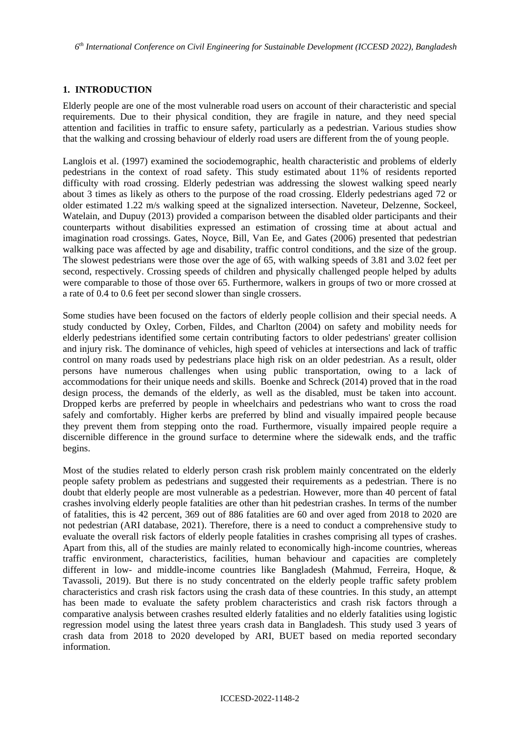## **1. INTRODUCTION**

Elderly people are one of the most vulnerable road users on account of their characteristic and special requirements. Due to their physical condition, they are fragile in nature, and they need special attention and facilities in traffic to ensure safety, particularly as a pedestrian. Various studies show that the walking and crossing behaviour of elderly road users are different from the of young people.

Langlois et al. (1997) examined the sociodemographic, health characteristic and problems of elderly pedestrians in the context of road safety. This study estimated about 11% of residents reported difficulty with road crossing. Elderly pedestrian was addressing the slowest walking speed nearly about 3 times as likely as others to the purpose of the road crossing. Elderly pedestrians aged 72 or older estimated 1.22 m/s walking speed at the signalized intersection. Naveteur, Delzenne, Sockeel, Watelain, and Dupuy (2013) provided a comparison between the disabled older participants and their counterparts without disabilities expressed an estimation of crossing time at about actual and imagination road crossings. Gates, Noyce, Bill, Van Ee, and Gates (2006) presented that pedestrian walking pace was affected by age and disability, traffic control conditions, and the size of the group. The slowest pedestrians were those over the age of 65, with walking speeds of 3.81 and 3.02 feet per second, respectively. Crossing speeds of children and physically challenged people helped by adults were comparable to those of those over 65. Furthermore, walkers in groups of two or more crossed at a rate of 0.4 to 0.6 feet per second slower than single crossers.

Some studies have been focused on the factors of elderly people collision and their special needs. A study conducted by Oxley, Corben, Fildes, and Charlton (2004) on safety and mobility needs for elderly pedestrians identified some certain contributing factors to older pedestrians' greater collision and injury risk. The dominance of vehicles, high speed of vehicles at intersections and lack of traffic control on many roads used by pedestrians place high risk on an older pedestrian. As a result, older persons have numerous challenges when using public transportation, owing to a lack of accommodations for their unique needs and skills. Boenke and Schreck (2014) proved that in the road design process, the demands of the elderly, as well as the disabled, must be taken into account. Dropped kerbs are preferred by people in wheelchairs and pedestrians who want to cross the road safely and comfortably. Higher kerbs are preferred by blind and visually impaired people because they prevent them from stepping onto the road. Furthermore, visually impaired people require a discernible difference in the ground surface to determine where the sidewalk ends, and the traffic begins.

Most of the studies related to elderly person crash risk problem mainly concentrated on the elderly people safety problem as pedestrians and suggested their requirements as a pedestrian. There is no doubt that elderly people are most vulnerable as a pedestrian. However, more than 40 percent of fatal crashes involving elderly people fatalities are other than hit pedestrian crashes. In terms of the number of fatalities, this is 42 percent, 369 out of 886 fatalities are 60 and over aged from 2018 to 2020 are not pedestrian (ARI database, 2021). Therefore, there is a need to conduct a comprehensive study to evaluate the overall risk factors of elderly people fatalities in crashes comprising all types of crashes. Apart from this, all of the studies are mainly related to economically high-income countries, whereas traffic environment, characteristics, facilities, human behaviour and capacities are completely different in low- and middle-income countries like Bangladesh (Mahmud, Ferreira, Hoque, & Tavassoli, 2019). But there is no study concentrated on the elderly people traffic safety problem characteristics and crash risk factors using the crash data of these countries. In this study, an attempt has been made to evaluate the safety problem characteristics and crash risk factors through a comparative analysis between crashes resulted elderly fatalities and no elderly fatalities using logistic regression model using the latest three years crash data in Bangladesh. This study used 3 years of crash data from 2018 to 2020 developed by ARI, BUET based on media reported secondary information.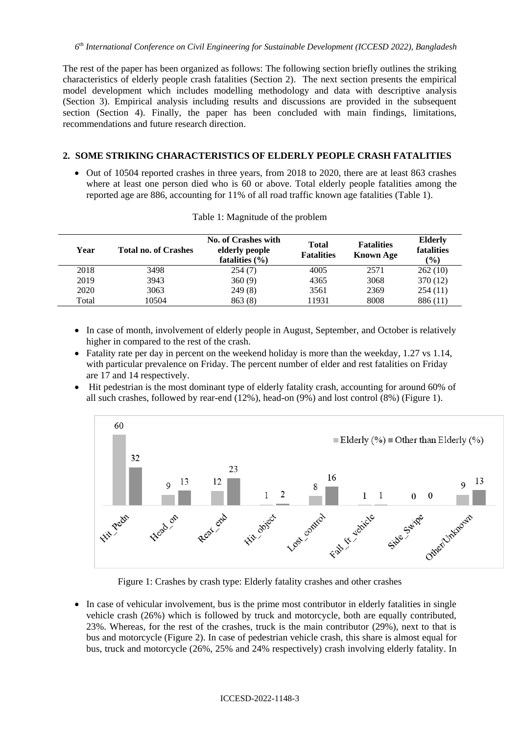*6 th International Conference on Civil Engineering for Sustainable Development (ICCESD 2022), Bangladesh*

The rest of the paper has been organized as follows: The following section briefly outlines the striking characteristics of elderly people crash fatalities (Section 2). The next section presents the empirical model development which includes modelling methodology and data with descriptive analysis (Section 3). Empirical analysis including results and discussions are provided in the subsequent section (Section 4). Finally, the paper has been concluded with main findings, limitations, recommendations and future research direction.

# **2. SOME STRIKING CHARACTERISTICS OF ELDERLY PEOPLE CRASH FATALITIES**

 Out of 10504 reported crashes in three years, from 2018 to 2020, there are at least 863 crashes where at least one person died who is 60 or above. Total elderly people fatalities among the reported age are 886, accounting for 11% of all road traffic known age fatalities (Table 1).

| Year  | <b>Total no. of Crashes</b> | <b>No. of Crashes with</b><br>elderly people<br>fatalities $(\% )$ | <b>Total</b><br><b>Fatalities</b> | <b>Fatalities</b><br><b>Known Age</b> | <b>Elderly</b><br>fatalities<br>$(\%)$ |
|-------|-----------------------------|--------------------------------------------------------------------|-----------------------------------|---------------------------------------|----------------------------------------|
| 2018  | 3498                        | 254(7)                                                             | 4005                              | 2571                                  | 262(10)                                |
| 2019  | 3943                        | 360(9)                                                             | 4365                              | 3068                                  | 370 (12)                               |
| 2020  | 3063                        | 249(8)                                                             | 3561                              | 2369                                  | 254(11)                                |
| Total | 10504                       | 863(8)                                                             | 11931                             | 8008                                  | 886 (11)                               |

| Table 1: Magnitude of the problem |  |  |  |  |
|-----------------------------------|--|--|--|--|
|                                   |  |  |  |  |

- In case of month, involvement of elderly people in August, September, and October is relatively higher in compared to the rest of the crash.
- Fatality rate per day in percent on the weekend holiday is more than the weekday,  $1.27$  vs  $1.14$ , with particular prevalence on Friday. The percent number of elder and rest fatalities on Friday are 17 and 14 respectively.
- Hit pedestrian is the most dominant type of elderly fatality crash, accounting for around 60% of all such crashes, followed by rear-end  $(12%)$ , head-on  $(9%)$  and lost control  $(8%)$  (Figure 1).



Figure 1: Crashes by crash type: Elderly fatality crashes and other crashes

• In case of vehicular involvement, bus is the prime most contributor in elderly fatalities in single vehicle crash (26%) which is followed by truck and motorcycle, both are equally contributed, 23%. Whereas, for the rest of the crashes, truck is the main contributor (29%), next to that is bus and motorcycle (Figure 2). In case of pedestrian vehicle crash, this share is almost equal for bus, truck and motorcycle (26%, 25% and 24% respectively) crash involving elderly fatality. In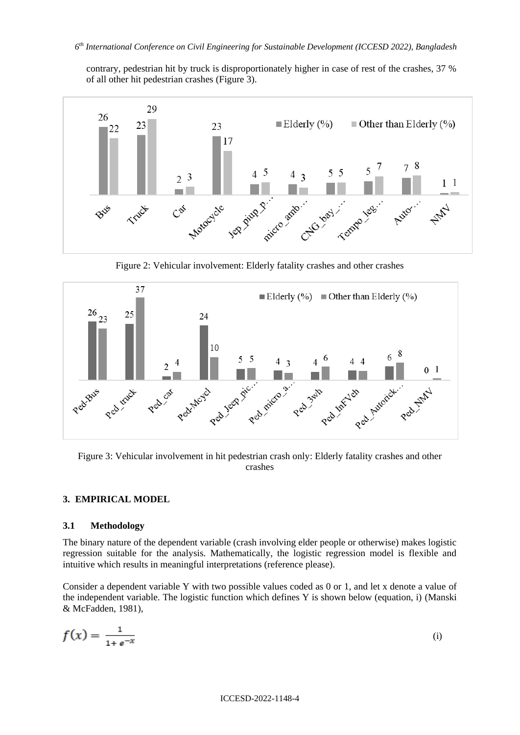contrary, pedestrian hit by truck is disproportionately higher in case of rest of the crashes, 37 % of all other hit pedestrian crashes (Figure 3).



Figure 2: Vehicular involvement: Elderly fatality crashes and other crashes



Figure 3: Vehicular involvement in hit pedestrian crash only: Elderly fatality crashes and other crashes

### **3. EMPIRICAL MODEL**

### **3.1 Methodology**

The binary nature of the dependent variable (crash involving elder people or otherwise) makes logistic regression suitable for the analysis. Mathematically, the logistic regression model is flexible and intuitive which results in meaningful interpretations (reference please).

Consider a dependent variable Y with two possible values coded as 0 or 1, and let x denote a value of the independent variable. The logistic function which defines Y is shown below (equation, i) (Manski & McFadden, 1981),

$$
f(x) = \frac{1}{1 + e^{-x}}
$$
 (i)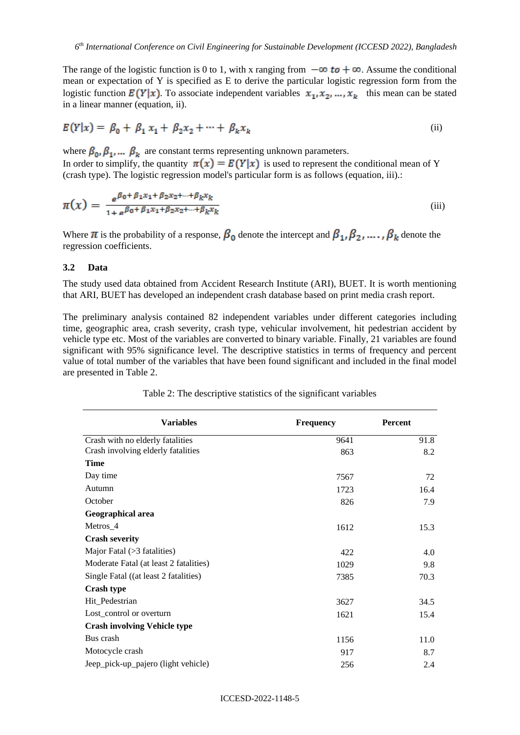The range of the logistic function is 0 to 1, with x ranging from  $-\infty$  to  $+\infty$ . Assume the conditional mean or expectation of Y is specified as E to derive the particular logistic regression form from the logistic function  $E(Y|x)$ . To associate independent variables  $x_1, x_2, ..., x_k$  this mean can be stated in a linear manner (equation, ii).

$$
E(Y|x) = \beta_0 + \beta_1 x_1 + \beta_2 x_2 + \dots + \beta_k x_k
$$
 (ii)

where  $\beta_0$ ,  $\beta_1$ , ...  $\beta_k$  are constant terms representing unknown parameters. In order to simplify, the quantity  $\pi(x) = E(Y|x)$  is used to represent the conditional mean of Y (crash type). The logistic regression model's particular form is as follows (equation, iii).:

$$
\pi(x) = \frac{e^{\beta_0 + \beta_1 x_1 + \beta_2 x_2 + \dots + \beta_k x_k}}{1 + e^{\beta_0 + \beta_1 x_1 + \beta_2 x_2 + \dots + \beta_k x_k}}
$$
(iii)

Where  $\pi$  is the probability of a response,  $\beta_0$  denote the intercept and  $\beta_1, \beta_2, \dots, \beta_k$  denote the regression coefficients.

#### **3.2 Data**

The study used data obtained from Accident Research Institute (ARI), BUET. It is worth mentioning that ARI, BUET has developed an independent crash database based on print media crash report.

The preliminary analysis contained 82 independent variables under different categories including time, geographic area, crash severity, crash type, vehicular involvement, hit pedestrian accident by vehicle type etc. Most of the variables are converted to binary variable. Finally, 21 variables are found significant with 95% significance level. The descriptive statistics in terms of frequency and percent value of total number of the variables that have been found significant and included in the final model are presented in Table 2.

| <b>Variables</b>                       | <b>Frequency</b> | Percent |
|----------------------------------------|------------------|---------|
| Crash with no elderly fatalities       | 9641             | 91.8    |
| Crash involving elderly fatalities     | 863              | 8.2     |
| <b>Time</b>                            |                  |         |
| Day time                               | 7567             | 72      |
| Autumn                                 | 1723             | 16.4    |
| October                                | 826              | 7.9     |
| Geographical area                      |                  |         |
| Metros_4                               | 1612             | 15.3    |
| <b>Crash severity</b>                  |                  |         |
| Major Fatal (>3 fatalities)            | 422              | 4.0     |
| Moderate Fatal (at least 2 fatalities) | 1029             | 9.8     |
| Single Fatal ((at least 2 fatalities)  | 7385             | 70.3    |
| <b>Crash type</b>                      |                  |         |
| Hit_Pedestrian                         | 3627             | 34.5    |
| Lost_control or overturn               | 1621             | 15.4    |
| <b>Crash involving Vehicle type</b>    |                  |         |
| Bus crash                              | 1156             | 11.0    |
| Motocycle crash                        | 917              | 8.7     |
| Jeep_pick-up_pajero (light vehicle)    | 256              | 2.4     |

Table 2: The descriptive statistics of the significant variables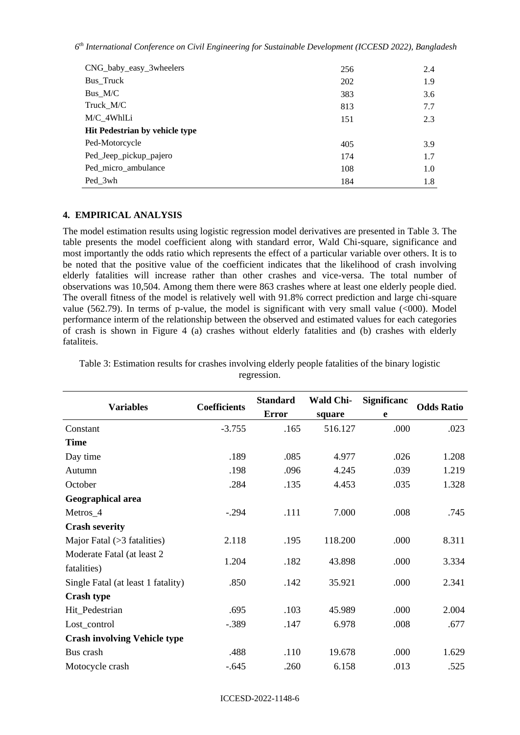| CNG_baby_easy_3wheelers        | 256 | 2.4 |
|--------------------------------|-----|-----|
| Bus_Truck                      | 202 | 1.9 |
| $Bus_M/C$                      | 383 | 3.6 |
| Truck M/C                      | 813 | 7.7 |
| M/C 4WhlLi                     | 151 | 2.3 |
| Hit Pedestrian by vehicle type |     |     |
| Ped-Motorcycle                 | 405 | 3.9 |
| Ped_Jeep_pickup_pajero         | 174 | 1.7 |
| Ped_micro_ambulance            | 108 | 1.0 |
| Ped 3wh                        | 184 | 1.8 |

## **4. EMPIRICAL ANALYSIS**

The model estimation results using logistic regression model derivatives are presented in Table 3. The table presents the model coefficient along with standard error, Wald Chi-square, significance and most importantly the odds ratio which represents the effect of a particular variable over others. It is to be noted that the positive value of the coefficient indicates that the likelihood of crash involving elderly fatalities will increase rather than other crashes and vice-versa. The total number of observations was 10,504. Among them there were 863 crashes where at least one elderly people died. The overall fitness of the model is relatively well with 91.8% correct prediction and large chi-square value (562.79). In terms of p-value, the model is significant with very small value ( $\leq 000$ ). Model performance interm of the relationship between the observed and estimated values for each categories of crash is shown in Figure 4 (a) crashes without elderly fatalities and (b) crashes with elderly fataliteis.

|                                     | <b>Coefficients</b> | <b>Standard</b> | <b>Wald Chi-</b> | Significanc |                   |
|-------------------------------------|---------------------|-----------------|------------------|-------------|-------------------|
| <b>Variables</b>                    |                     | <b>Error</b>    | square           | e           | <b>Odds Ratio</b> |
| Constant                            | $-3.755$            | .165            | 516.127          | .000        | .023              |
| <b>Time</b>                         |                     |                 |                  |             |                   |
| Day time                            | .189                | .085            | 4.977            | .026        | 1.208             |
| Autumn                              | .198                | .096            | 4.245            | .039        | 1.219             |
| October                             | .284                | .135            | 4.453            | .035        | 1.328             |
| Geographical area                   |                     |                 |                  |             |                   |
| Metros_4                            | $-.294$             | .111            | 7.000            | .008        | .745              |
| <b>Crash severity</b>               |                     |                 |                  |             |                   |
| Major Fatal $($ >3 fatalities $)$   | 2.118               | .195            | 118.200          | .000        | 8.311             |
| Moderate Fatal (at least 2)         | 1.204               | .182            | 43.898           | .000        | 3.334             |
| fatalities)                         |                     |                 |                  |             |                   |
| Single Fatal (at least 1 fatality)  | .850                | .142            | 35.921           | .000        | 2.341             |
| <b>Crash type</b>                   |                     |                 |                  |             |                   |
| Hit_Pedestrian                      | .695                | .103            | 45.989           | .000        | 2.004             |
| Lost_control                        | $-.389$             | .147            | 6.978            | .008        | .677              |
| <b>Crash involving Vehicle type</b> |                     |                 |                  |             |                   |
| Bus crash                           | .488                | .110            | 19.678           | .000        | 1.629             |
| Motocycle crash                     | $-.645$             | .260            | 6.158            | .013        | .525              |

Table 3: Estimation results for crashes involving elderly people fatalities of the binary logistic regression.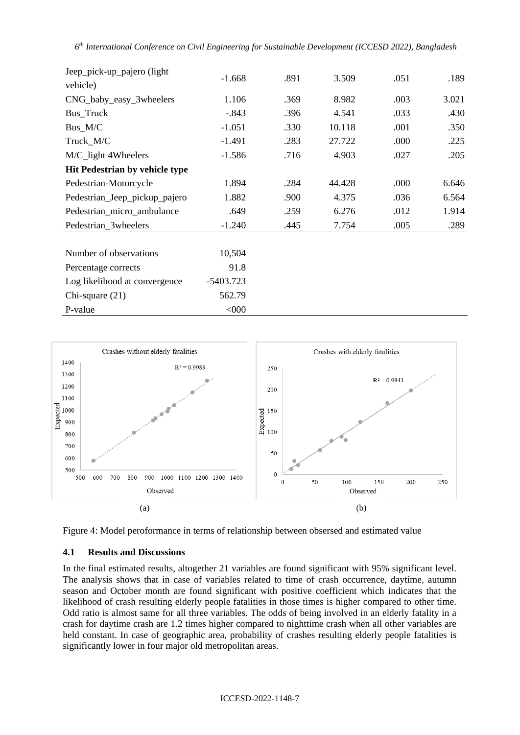| Jeep_pick-up_pajero (light)           | $-1.668$    | .891 | 3.509  | .051 | .189  |
|---------------------------------------|-------------|------|--------|------|-------|
| vehicle)                              |             |      |        |      |       |
| CNG_baby_easy_3wheelers               | 1.106       | .369 | 8.982  | .003 | 3.021 |
| Bus_Truck                             | $-.843$     | .396 | 4.541  | .033 | .430  |
| Bus_M/C                               | $-1.051$    | .330 | 10.118 | .001 | .350  |
| Truck_M/C                             | $-1.491$    | .283 | 27.722 | .000 | .225  |
| M/C_light 4Wheelers                   | $-1.586$    | .716 | 4.903  | .027 | .205  |
| <b>Hit Pedestrian by vehicle type</b> |             |      |        |      |       |
| Pedestrian-Motorcycle                 | 1.894       | .284 | 44.428 | .000 | 6.646 |
| Pedestrian_Jeep_pickup_pajero         | 1.882       | .900 | 4.375  | .036 | 6.564 |
| Pedestrian_micro_ambulance            | .649        | .259 | 6.276  | .012 | 1.914 |
| Pedestrian_3wheelers                  | $-1.240$    | .445 | 7.754  | .005 | .289  |
|                                       |             |      |        |      |       |
| Number of observations                | 10,504      |      |        |      |       |
| Percentage corrects                   | 91.8        |      |        |      |       |
| Log likelihood at convergence         | $-5403.723$ |      |        |      |       |
| Chi-square $(21)$                     | 562.79      |      |        |      |       |





## **4.1 Results and Discussions**

P-value  $< 000$ 

In the final estimated results, altogether 21 variables are found significant with 95% significant level. The analysis shows that in case of variables related to time of crash occurrence, daytime, autumn season and October month are found significant with positive coefficient which indicates that the likelihood of crash resulting elderly people fatalities in those times is higher compared to other time. Odd ratio is almost same for all three variables. The odds of being involved in an elderly fatality in a crash for daytime crash are 1.2 times higher compared to nighttime crash when all other variables are held constant. In case of geographic area, probability of crashes resulting elderly people fatalities is significantly lower in four major old metropolitan areas.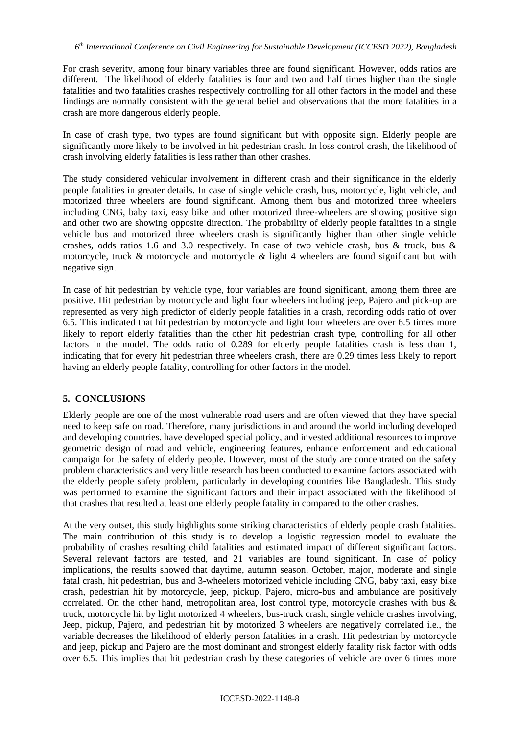For crash severity, among four binary variables three are found significant. However, odds ratios are different. The likelihood of elderly fatalities is four and two and half times higher than the single fatalities and two fatalities crashes respectively controlling for all other factors in the model and these findings are normally consistent with the general belief and observations that the more fatalities in a crash are more dangerous elderly people.

In case of crash type, two types are found significant but with opposite sign. Elderly people are significantly more likely to be involved in hit pedestrian crash. In loss control crash, the likelihood of crash involving elderly fatalities is less rather than other crashes.

The study considered vehicular involvement in different crash and their significance in the elderly people fatalities in greater details. In case of single vehicle crash, bus, motorcycle, light vehicle, and motorized three wheelers are found significant. Among them bus and motorized three wheelers including CNG, baby taxi, easy bike and other motorized three-wheelers are showing positive sign and other two are showing opposite direction. The probability of elderly people fatalities in a single vehicle bus and motorized three wheelers crash is significantly higher than other single vehicle crashes, odds ratios 1.6 and 3.0 respectively. In case of two vehicle crash, bus & truck, bus & motorcycle, truck & motorcycle and motorcycle & light 4 wheelers are found significant but with negative sign.

In case of hit pedestrian by vehicle type, four variables are found significant, among them three are positive. Hit pedestrian by motorcycle and light four wheelers including jeep, Pajero and pick-up are represented as very high predictor of elderly people fatalities in a crash, recording odds ratio of over 6.5. This indicated that hit pedestrian by motorcycle and light four wheelers are over 6.5 times more likely to report elderly fatalities than the other hit pedestrian crash type, controlling for all other factors in the model. The odds ratio of 0.289 for elderly people fatalities crash is less than 1, indicating that for every hit pedestrian three wheelers crash, there are 0.29 times less likely to report having an elderly people fatality, controlling for other factors in the model.

# **5. CONCLUSIONS**

Elderly people are one of the most vulnerable road users and are often viewed that they have special need to keep safe on road. Therefore, many jurisdictions in and around the world including developed and developing countries, have developed special policy, and invested additional resources to improve geometric design of road and vehicle, engineering features, enhance enforcement and educational campaign for the safety of elderly people. However, most of the study are concentrated on the safety problem characteristics and very little research has been conducted to examine factors associated with the elderly people safety problem, particularly in developing countries like Bangladesh. This study was performed to examine the significant factors and their impact associated with the likelihood of that crashes that resulted at least one elderly people fatality in compared to the other crashes.

At the very outset, this study highlights some striking characteristics of elderly people crash fatalities. The main contribution of this study is to develop a logistic regression model to evaluate the probability of crashes resulting child fatalities and estimated impact of different significant factors. Several relevant factors are tested, and 21 variables are found significant. In case of policy implications, the results showed that daytime, autumn season, October, major, moderate and single fatal crash, hit pedestrian, bus and 3-wheelers motorized vehicle including CNG, baby taxi, easy bike crash, pedestrian hit by motorcycle, jeep, pickup, Pajero, micro-bus and ambulance are positively correlated. On the other hand, metropolitan area, lost control type, motorcycle crashes with bus  $\&$ truck, motorcycle hit by light motorized 4 wheelers, bus-truck crash, single vehicle crashes involving, Jeep, pickup, Pajero, and pedestrian hit by motorized 3 wheelers are negatively correlated i.e., the variable decreases the likelihood of elderly person fatalities in a crash. Hit pedestrian by motorcycle and jeep, pickup and Pajero are the most dominant and strongest elderly fatality risk factor with odds over 6.5. This implies that hit pedestrian crash by these categories of vehicle are over 6 times more